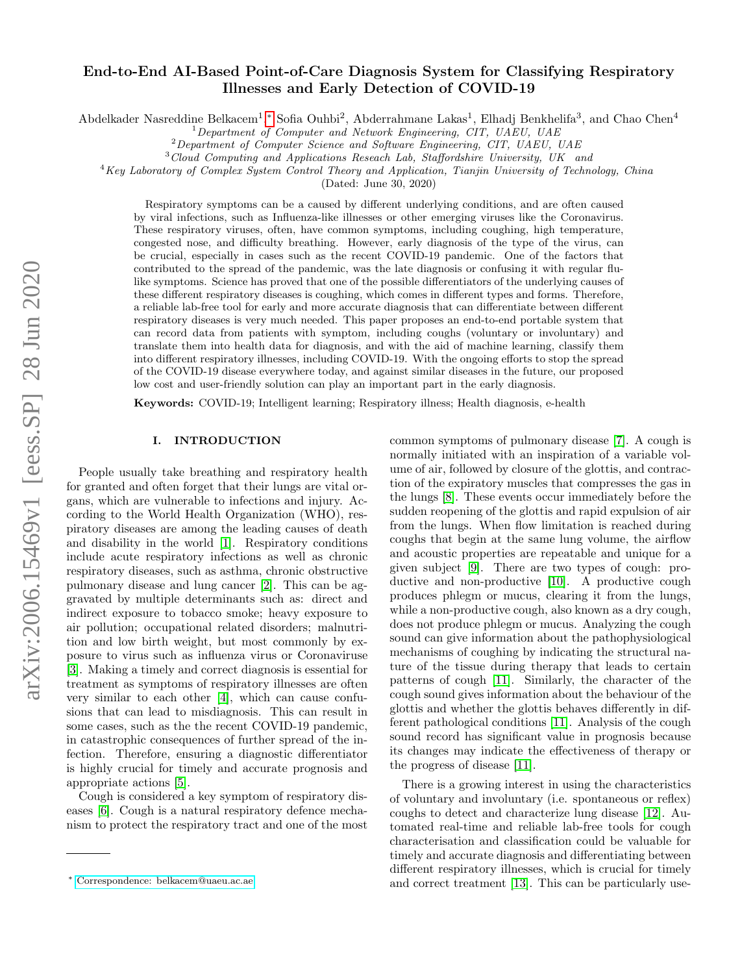# arXiv:2006.15469v1 [eess.SP] 28 Jun 2020 arXiv:2006.15469v1 [eess.SP] 28 Jun 2020

# End-to-End AI-Based Point-of-Care Diagnosis System for Classifying Respiratory Illnesses and Early Detection of COVID-19

Abdelkader Nasreddine Belkacem<sup>1</sup>,\* Sofia Ouhbi<sup>2</sup>, Abderrahmane Lakas<sup>1</sup>, Elhadj Benkhelifa<sup>3</sup>, and Chao Chen<sup>4</sup>

<sup>2</sup>Department of Computer Science and Software Engineering, CIT, UAEU, UAE

<sup>3</sup>Cloud Computing and Applications Reseach Lab, Staffordshire University, UK and

 $4Key Laboratory$  of Complex System Control Theory and Application, Tianjin University of Technology, China

(Dated: June 30, 2020)

Respiratory symptoms can be a caused by different underlying conditions, and are often caused by viral infections, such as Influenza-like illnesses or other emerging viruses like the Coronavirus. These respiratory viruses, often, have common symptoms, including coughing, high temperature, congested nose, and difficulty breathing. However, early diagnosis of the type of the virus, can be crucial, especially in cases such as the recent COVID-19 pandemic. One of the factors that contributed to the spread of the pandemic, was the late diagnosis or confusing it with regular flulike symptoms. Science has proved that one of the possible differentiators of the underlying causes of these different respiratory diseases is coughing, which comes in different types and forms. Therefore, a reliable lab-free tool for early and more accurate diagnosis that can differentiate between different respiratory diseases is very much needed. This paper proposes an end-to-end portable system that can record data from patients with symptom, including coughs (voluntary or involuntary) and translate them into health data for diagnosis, and with the aid of machine learning, classify them into different respiratory illnesses, including COVID-19. With the ongoing efforts to stop the spread of the COVID-19 disease everywhere today, and against similar diseases in the future, our proposed low cost and user-friendly solution can play an important part in the early diagnosis.

Keywords: COVID-19; Intelligent learning; Respiratory illness; Health diagnosis, e-health

# I. INTRODUCTION

People usually take breathing and respiratory health for granted and often forget that their lungs are vital organs, which are vulnerable to infections and injury. According to the World Health Organization (WHO), respiratory diseases are among the leading causes of death and disability in the world [\[1\]](#page-8-0). Respiratory conditions include acute respiratory infections as well as chronic respiratory diseases, such as asthma, chronic obstructive pulmonary disease and lung cancer [\[2\]](#page-8-1). This can be aggravated by multiple determinants such as: direct and indirect exposure to tobacco smoke; heavy exposure to air pollution; occupational related disorders; malnutrition and low birth weight, but most commonly by exposure to virus such as influenza virus or Coronaviruse [\[3\]](#page-8-2). Making a timely and correct diagnosis is essential for treatment as symptoms of respiratory illnesses are often very similar to each other [\[4\]](#page-8-3), which can cause confusions that can lead to misdiagnosis. This can result in some cases, such as the the recent COVID-19 pandemic, in catastrophic consequences of further spread of the infection. Therefore, ensuring a diagnostic differentiator is highly crucial for timely and accurate prognosis and appropriate actions [\[5\]](#page-8-4).

Cough is considered a key symptom of respiratory diseases [\[6\]](#page-8-5). Cough is a natural respiratory defence mechanism to protect the respiratory tract and one of the most common symptoms of pulmonary disease [\[7\]](#page-8-6). A cough is normally initiated with an inspiration of a variable volume of air, followed by closure of the glottis, and contraction of the expiratory muscles that compresses the gas in the lungs [\[8\]](#page-8-7). These events occur immediately before the sudden reopening of the glottis and rapid expulsion of air from the lungs. When flow limitation is reached during coughs that begin at the same lung volume, the airflow and acoustic properties are repeatable and unique for a given subject [\[9\]](#page-8-8). There are two types of cough: pro-ductive and non-productive [\[10\]](#page-8-9). A productive cough produces phlegm or mucus, clearing it from the lungs, while a non-productive cough, also known as a dry cough, does not produce phlegm or mucus. Analyzing the cough sound can give information about the pathophysiological mechanisms of coughing by indicating the structural nature of the tissue during therapy that leads to certain patterns of cough [\[11\]](#page-8-10). Similarly, the character of the cough sound gives information about the behaviour of the glottis and whether the glottis behaves differently in different pathological conditions [\[11\]](#page-8-10). Analysis of the cough sound record has significant value in prognosis because its changes may indicate the effectiveness of therapy or the progress of disease [\[11\]](#page-8-10).

There is a growing interest in using the characteristics of voluntary and involuntary (i.e. spontaneous or reflex) coughs to detect and characterize lung disease [\[12\]](#page-8-11). Automated real-time and reliable lab-free tools for cough characterisation and classification could be valuable for timely and accurate diagnosis and differentiating between different respiratory illnesses, which is crucial for timely and correct treatment [\[13\]](#page-8-12). This can be particularly use-

 $1$ Department of Computer and Network Engineering, CIT, UAEU, UAE

<span id="page-0-0"></span><sup>∗</sup> [Correspondence: belkacem@uaeu.ac.ae](mailto:Correspondence: belkacem@uaeu.ac.ae)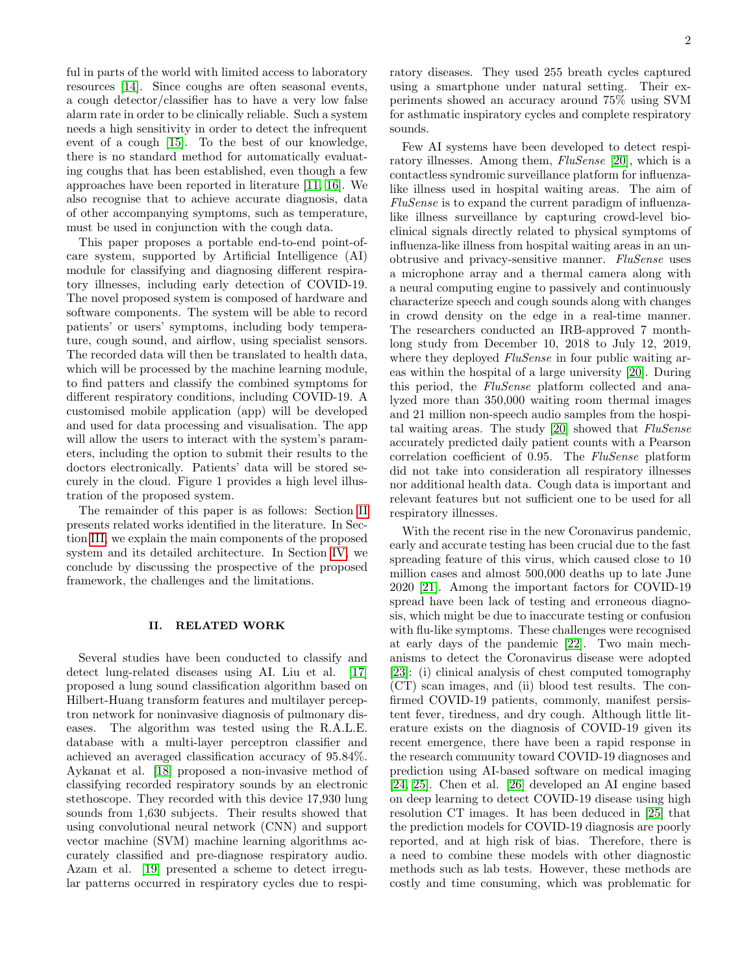ful in parts of the world with limited access to laboratory resources [\[14\]](#page-8-13). Since coughs are often seasonal events, a cough detector/classifier has to have a very low false alarm rate in order to be clinically reliable. Such a system needs a high sensitivity in order to detect the infrequent event of a cough [\[15\]](#page-8-14). To the best of our knowledge, there is no standard method for automatically evaluating coughs that has been established, even though a few approaches have been reported in literature [\[11,](#page-8-10) [16\]](#page-8-15). We also recognise that to achieve accurate diagnosis, data of other accompanying symptoms, such as temperature, must be used in conjunction with the cough data.

This paper proposes a portable end-to-end point-ofcare system, supported by Artificial Intelligence (AI) module for classifying and diagnosing different respiratory illnesses, including early detection of COVID-19. The novel proposed system is composed of hardware and software components. The system will be able to record patients' or users' symptoms, including body temperature, cough sound, and airflow, using specialist sensors. The recorded data will then be translated to health data, which will be processed by the machine learning module, to find patters and classify the combined symptoms for different respiratory conditions, including COVID-19. A customised mobile application (app) will be developed and used for data processing and visualisation. The app will allow the users to interact with the system's parameters, including the option to submit their results to the doctors electronically. Patients' data will be stored securely in the cloud. Figure 1 provides a high level illustration of the proposed system.

The remainder of this paper is as follows: Section [II](#page-1-0) presents related works identified in the literature. In Section [III,](#page-2-0) we explain the main components of the proposed system and its detailed architecture. In Section [IV,](#page-7-0) we conclude by discussing the prospective of the proposed framework, the challenges and the limitations.

## <span id="page-1-0"></span>II. RELATED WORK

Several studies have been conducted to classify and detect lung-related diseases using AI. Liu et al. [\[17\]](#page-8-16) proposed a lung sound classification algorithm based on Hilbert-Huang transform features and multilayer perceptron network for noninvasive diagnosis of pulmonary diseases. The algorithm was tested using the R.A.L.E. database with a multi-layer perceptron classifier and achieved an averaged classification accuracy of 95.84%. Aykanat et al. [\[18\]](#page-8-17) proposed a non-invasive method of classifying recorded respiratory sounds by an electronic stethoscope. They recorded with this device 17,930 lung sounds from 1,630 subjects. Their results showed that using convolutional neural network (CNN) and support vector machine (SVM) machine learning algorithms accurately classified and pre-diagnose respiratory audio. Azam et al. [\[19\]](#page-8-18) presented a scheme to detect irregular patterns occurred in respiratory cycles due to respiratory diseases. They used 255 breath cycles captured using a smartphone under natural setting. Their experiments showed an accuracy around 75% using SVM for asthmatic inspiratory cycles and complete respiratory sounds.

Few AI systems have been developed to detect respi-ratory illnesses. Among them, FluSense [\[20\]](#page-8-19), which is a contactless syndromic surveillance platform for influenzalike illness used in hospital waiting areas. The aim of FluSense is to expand the current paradigm of influenzalike illness surveillance by capturing crowd-level bioclinical signals directly related to physical symptoms of influenza-like illness from hospital waiting areas in an unobtrusive and privacy-sensitive manner. FluSense uses a microphone array and a thermal camera along with a neural computing engine to passively and continuously characterize speech and cough sounds along with changes in crowd density on the edge in a real-time manner. The researchers conducted an IRB-approved 7 monthlong study from December 10, 2018 to July 12, 2019, where they deployed FluSense in four public waiting areas within the hospital of a large university [\[20\]](#page-8-19). During this period, the FluSense platform collected and analyzed more than 350,000 waiting room thermal images and 21 million non-speech audio samples from the hospital waiting areas. The study [\[20\]](#page-8-19) showed that FluSense accurately predicted daily patient counts with a Pearson correlation coefficient of 0.95. The FluSense platform did not take into consideration all respiratory illnesses nor additional health data. Cough data is important and relevant features but not sufficient one to be used for all respiratory illnesses.

With the recent rise in the new Coronavirus pandemic, early and accurate testing has been crucial due to the fast spreading feature of this virus, which caused close to 10 million cases and almost 500,000 deaths up to late June 2020 [\[21\]](#page-8-20). Among the important factors for COVID-19 spread have been lack of testing and erroneous diagnosis, which might be due to inaccurate testing or confusion with flu-like symptoms. These challenges were recognised at early days of the pandemic [\[22\]](#page-9-0). Two main mechanisms to detect the Coronavirus disease were adopted [\[23\]](#page-9-1): (i) clinical analysis of chest computed tomography (CT) scan images, and (ii) blood test results. The confirmed COVID-19 patients, commonly, manifest persistent fever, tiredness, and dry cough. Although little literature exists on the diagnosis of COVID-19 given its recent emergence, there have been a rapid response in the research community toward COVID-19 diagnoses and prediction using AI-based software on medical imaging [\[24,](#page-9-2) [25\]](#page-9-3). Chen et al. [\[26\]](#page-9-4) developed an AI engine based on deep learning to detect COVID-19 disease using high resolution CT images. It has been deduced in [\[25\]](#page-9-3) that the prediction models for COVID-19 diagnosis are poorly reported, and at high risk of bias. Therefore, there is a need to combine these models with other diagnostic methods such as lab tests. However, these methods are costly and time consuming, which was problematic for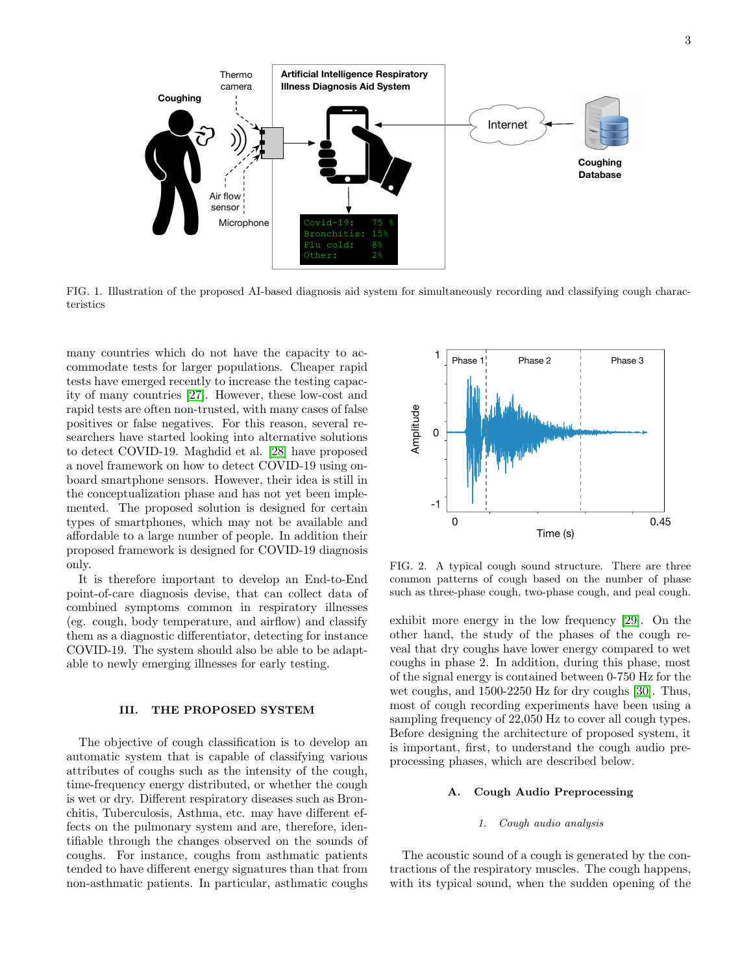

FIG. 1. Illustration of the proposed AI-based diagnosis aid system for simultaneously recording and classifying cough characteristics

many countries which do not have the capacity to accommodate tests for larger populations. Cheaper rapid tests have emerged recently to increase the testing capacity of many countries [\[27\]](#page-9-5). However, these low-cost and rapid tests are often non-trusted, with many cases of false positives or false negatives. For this reason, several researchers have started looking into alternative solutions to detect COVID-19. Maghdid et al. [\[28\]](#page-9-6) have proposed a novel framework on how to detect COVID-19 using onboard smartphone sensors. However, their idea is still in the conceptualization phase and has not yet been implemented. The proposed solution is designed for certain types of smartphones, which may not be available and affordable to a large number of people. In addition their proposed framework is designed for COVID-19 diagnosis only.

It is therefore important to develop an End-to-End point-of-care diagnosis devise, that can collect data of combined symptoms common in respiratory illnesses (eg. cough, body temperature, and airflow) and classify them as a diagnostic differentiator, detecting for instance COVID-19. The system should also be able to be adaptable to newly emerging illnesses for early testing.

# <span id="page-2-0"></span>III. THE PROPOSED SYSTEM

The objective of cough classification is to develop an automatic system that is capable of classifying various attributes of coughs such as the intensity of the cough, time-frequency energy distributed, or whether the cough is wet or dry. Different respiratory diseases such as Bronchitis, Tuberculosis, Asthma, etc. may have different effects on the pulmonary system and are, therefore, identifiable through the changes observed on the sounds of coughs. For instance, coughs from asthmatic patients tended to have different energy signatures than that from non-asthmatic patients. In particular, asthmatic coughs



<span id="page-2-1"></span>FIG. 2. A typical cough sound structure. There are three common patterns of cough based on the number of phase such as three-phase cough, two-phase cough, and peal cough.

exhibit more energy in the low frequency [\[29\]](#page-9-7). On the other hand, the study of the phases of the cough reveal that dry coughs have lower energy compared to wet coughs in phase 2. In addition, during this phase, most of the signal energy is contained between 0-750 Hz for the wet coughs, and 1500-2250 Hz for dry coughs [\[30\]](#page-9-8). Thus, most of cough recording experiments have been using a sampling frequency of 22,050 Hz to cover all cough types. Before designing the architecture of proposed system, it is important, first, to understand the cough audio preprocessing phases, which are described below.

# A. Cough Audio Preprocessing

### 1. Cough audio analysis

The acoustic sound of a cough is generated by the contractions of the respiratory muscles. The cough happens, with its typical sound, when the sudden opening of the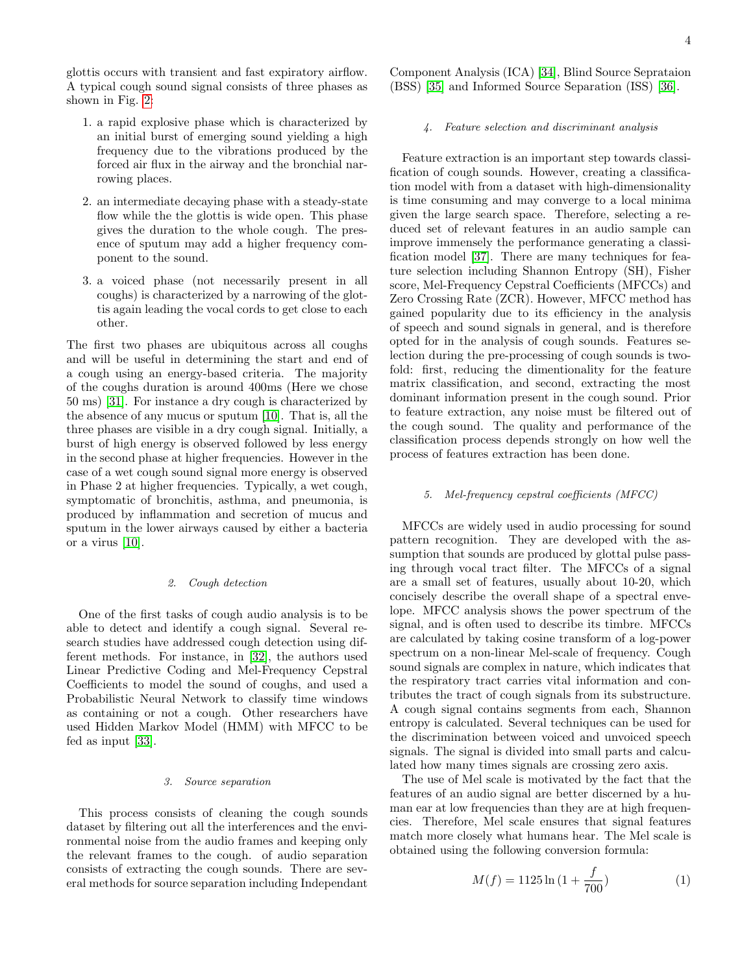glottis occurs with transient and fast expiratory airflow. A typical cough sound signal consists of three phases as shown in Fig. [2:](#page-2-1)

- 1. a rapid explosive phase which is characterized by an initial burst of emerging sound yielding a high frequency due to the vibrations produced by the forced air flux in the airway and the bronchial narrowing places.
- 2. an intermediate decaying phase with a steady-state flow while the the glottis is wide open. This phase gives the duration to the whole cough. The presence of sputum may add a higher frequency component to the sound.
- 3. a voiced phase (not necessarily present in all coughs) is characterized by a narrowing of the glottis again leading the vocal cords to get close to each other.

The first two phases are ubiquitous across all coughs and will be useful in determining the start and end of a cough using an energy-based criteria. The majority of the coughs duration is around 400ms (Here we chose 50 ms) [\[31\]](#page-9-9). For instance a dry cough is characterized by the absence of any mucus or sputum [\[10\]](#page-8-9). That is, all the three phases are visible in a dry cough signal. Initially, a burst of high energy is observed followed by less energy in the second phase at higher frequencies. However in the case of a wet cough sound signal more energy is observed in Phase 2 at higher frequencies. Typically, a wet cough, symptomatic of bronchitis, asthma, and pneumonia, is produced by inflammation and secretion of mucus and sputum in the lower airways caused by either a bacteria or a virus [\[10\]](#page-8-9).

### 2. Cough detection

One of the first tasks of cough audio analysis is to be able to detect and identify a cough signal. Several research studies have addressed cough detection using different methods. For instance, in [\[32\]](#page-9-10), the authors used Linear Predictive Coding and Mel-Frequency Cepstral Coefficients to model the sound of coughs, and used a Probabilistic Neural Network to classify time windows as containing or not a cough. Other researchers have used Hidden Markov Model (HMM) with MFCC to be fed as input [\[33\]](#page-9-11).

# 3. Source separation

This process consists of cleaning the cough sounds dataset by filtering out all the interferences and the environmental noise from the audio frames and keeping only the relevant frames to the cough. of audio separation consists of extracting the cough sounds. There are several methods for source separation including Independant

Component Analysis (ICA) [\[34\]](#page-9-12), Blind Source Seprataion (BSS) [\[35\]](#page-9-13) and Informed Source Separation (ISS) [\[36\]](#page-9-14).

# 4. Feature selection and discriminant analysis

Feature extraction is an important step towards classification of cough sounds. However, creating a classification model with from a dataset with high-dimensionality is time consuming and may converge to a local minima given the large search space. Therefore, selecting a reduced set of relevant features in an audio sample can improve immensely the performance generating a classification model [\[37\]](#page-10-0). There are many techniques for feature selection including Shannon Entropy (SH), Fisher score, Mel-Frequency Cepstral Coefficients (MFCCs) and Zero Crossing Rate (ZCR). However, MFCC method has gained popularity due to its efficiency in the analysis of speech and sound signals in general, and is therefore opted for in the analysis of cough sounds. Features selection during the pre-processing of cough sounds is twofold: first, reducing the dimentionality for the feature matrix classification, and second, extracting the most dominant information present in the cough sound. Prior to feature extraction, any noise must be filtered out of the cough sound. The quality and performance of the classification process depends strongly on how well the process of features extraction has been done.

# 5. Mel-frequency cepstral coefficients (MFCC)

MFCCs are widely used in audio processing for sound pattern recognition. They are developed with the assumption that sounds are produced by glottal pulse passing through vocal tract filter. The MFCCs of a signal are a small set of features, usually about 10-20, which concisely describe the overall shape of a spectral envelope. MFCC analysis shows the power spectrum of the signal, and is often used to describe its timbre. MFCCs are calculated by taking cosine transform of a log-power spectrum on a non-linear Mel-scale of frequency. Cough sound signals are complex in nature, which indicates that the respiratory tract carries vital information and contributes the tract of cough signals from its substructure. A cough signal contains segments from each, Shannon entropy is calculated. Several techniques can be used for the discrimination between voiced and unvoiced speech signals. The signal is divided into small parts and calculated how many times signals are crossing zero axis.

The use of Mel scale is motivated by the fact that the features of an audio signal are better discerned by a human ear at low frequencies than they are at high frequencies. Therefore, Mel scale ensures that signal features match more closely what humans hear. The Mel scale is obtained using the following conversion formula:

$$
M(f) = 1125 \ln(1 + \frac{f}{700})
$$
 (1)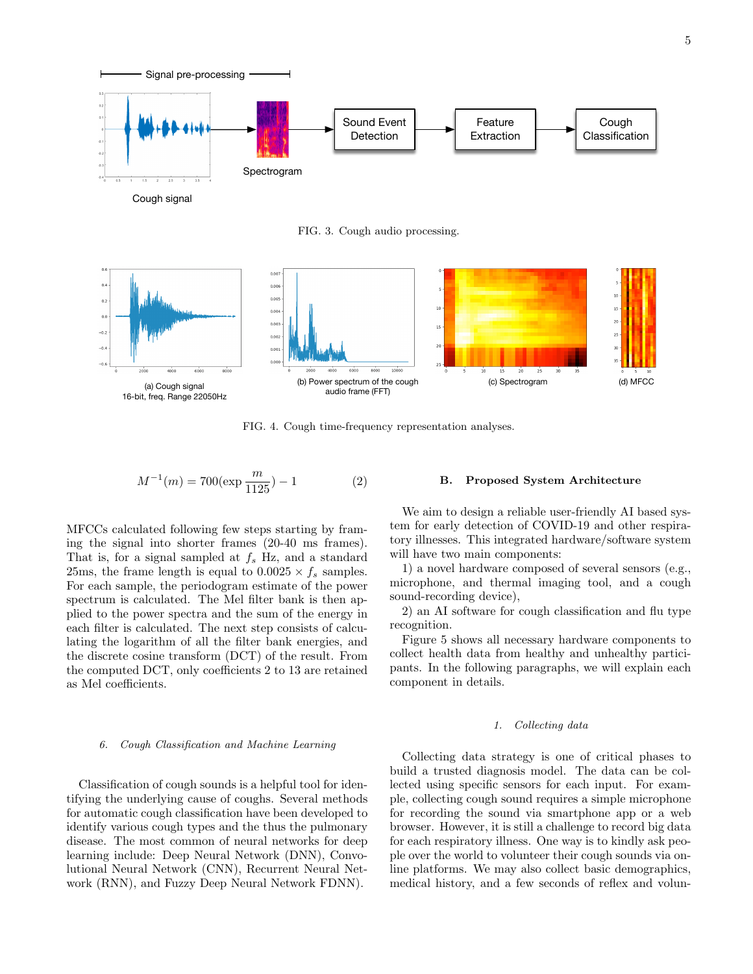

Cough signal

FIG. 3. Cough audio processing.



FIG. 4. Cough time-frequency representation analyses.

$$
M^{-1}(m) = 700(\exp\frac{m}{1125}) - 1\tag{2}
$$

MFCCs calculated following few steps starting by framing the signal into shorter frames (20-40 ms frames). That is, for a signal sampled at  $f_s$  Hz, and a standard 25ms, the frame length is equal to  $0.0025 \times f_s$  samples. For each sample, the periodogram estimate of the power spectrum is calculated. The Mel filter bank is then applied to the power spectra and the sum of the energy in each filter is calculated. The next step consists of calculating the logarithm of all the filter bank energies, and the discrete cosine transform (DCT) of the result. From the computed DCT, only coefficients 2 to 13 are retained as Mel coefficients.

### 6. Cough Classification and Machine Learning

Classification of cough sounds is a helpful tool for identifying the underlying cause of coughs. Several methods for automatic cough classification have been developed to identify various cough types and the thus the pulmonary disease. The most common of neural networks for deep learning include: Deep Neural Network (DNN), Convolutional Neural Network (CNN), Recurrent Neural Network (RNN), and Fuzzy Deep Neural Network FDNN).

### B. Proposed System Architecture

We aim to design a reliable user-friendly AI based system for early detection of COVID-19 and other respiratory illnesses. This integrated hardware/software system will have two main components:

1) a novel hardware composed of several sensors (e.g., microphone, and thermal imaging tool, and a cough sound-recording device),

2) an AI software for cough classification and flu type recognition.

Figure 5 shows all necessary hardware components to collect health data from healthy and unhealthy participants. In the following paragraphs, we will explain each component in details.

### 1. Collecting data

Collecting data strategy is one of critical phases to build a trusted diagnosis model. The data can be collected using specific sensors for each input. For example, collecting cough sound requires a simple microphone for recording the sound via smartphone app or a web browser. However, it is still a challenge to record big data for each respiratory illness. One way is to kindly ask people over the world to volunteer their cough sounds via online platforms. We may also collect basic demographics, medical history, and a few seconds of reflex and volun-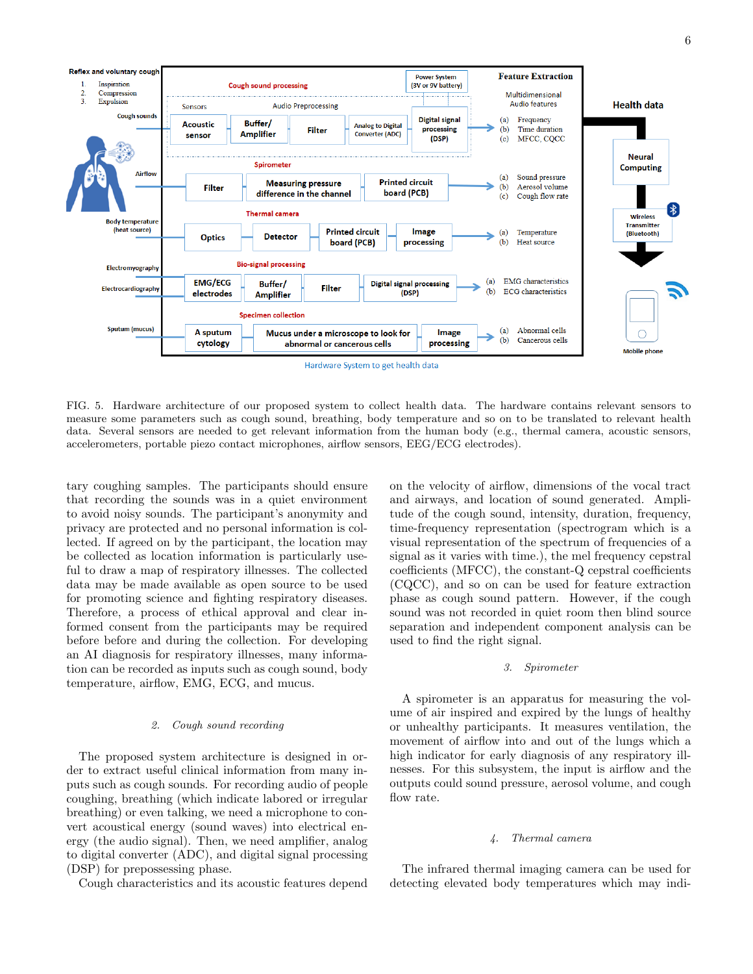

FIG. 5. Hardware architecture of our proposed system to collect health data. The hardware contains relevant sensors to measure some parameters such as cough sound, breathing, body temperature and so on to be translated to relevant health data. Several sensors are needed to get relevant information from the human body (e.g., thermal camera, acoustic sensors, accelerometers, portable piezo contact microphones, airflow sensors, EEG/ECG electrodes).

tary coughing samples. The participants should ensure that recording the sounds was in a quiet environment to avoid noisy sounds. The participant's anonymity and privacy are protected and no personal information is collected. If agreed on by the participant, the location may be collected as location information is particularly useful to draw a map of respiratory illnesses. The collected data may be made available as open source to be used for promoting science and fighting respiratory diseases. Therefore, a process of ethical approval and clear informed consent from the participants may be required before before and during the collection. For developing an AI diagnosis for respiratory illnesses, many information can be recorded as inputs such as cough sound, body temperature, airflow, EMG, ECG, and mucus.

### 2. Cough sound recording

The proposed system architecture is designed in order to extract useful clinical information from many inputs such as cough sounds. For recording audio of people coughing, breathing (which indicate labored or irregular breathing) or even talking, we need a microphone to convert acoustical energy (sound waves) into electrical energy (the audio signal). Then, we need amplifier, analog to digital converter (ADC), and digital signal processing (DSP) for prepossessing phase.

Cough characteristics and its acoustic features depend

on the velocity of airflow, dimensions of the vocal tract and airways, and location of sound generated. Amplitude of the cough sound, intensity, duration, frequency, time-frequency representation (spectrogram which is a visual representation of the spectrum of frequencies of a signal as it varies with time.), the mel frequency cepstral coefficients (MFCC), the constant-Q cepstral coefficients (CQCC), and so on can be used for feature extraction phase as cough sound pattern. However, if the cough sound was not recorded in quiet room then blind source separation and independent component analysis can be used to find the right signal.

# 3. Spirometer

A spirometer is an apparatus for measuring the volume of air inspired and expired by the lungs of healthy or unhealthy participants. It measures ventilation, the movement of airflow into and out of the lungs which a high indicator for early diagnosis of any respiratory illnesses. For this subsystem, the input is airflow and the outputs could sound pressure, aerosol volume, and cough flow rate.

# 4. Thermal camera

The infrared thermal imaging camera can be used for detecting elevated body temperatures which may indi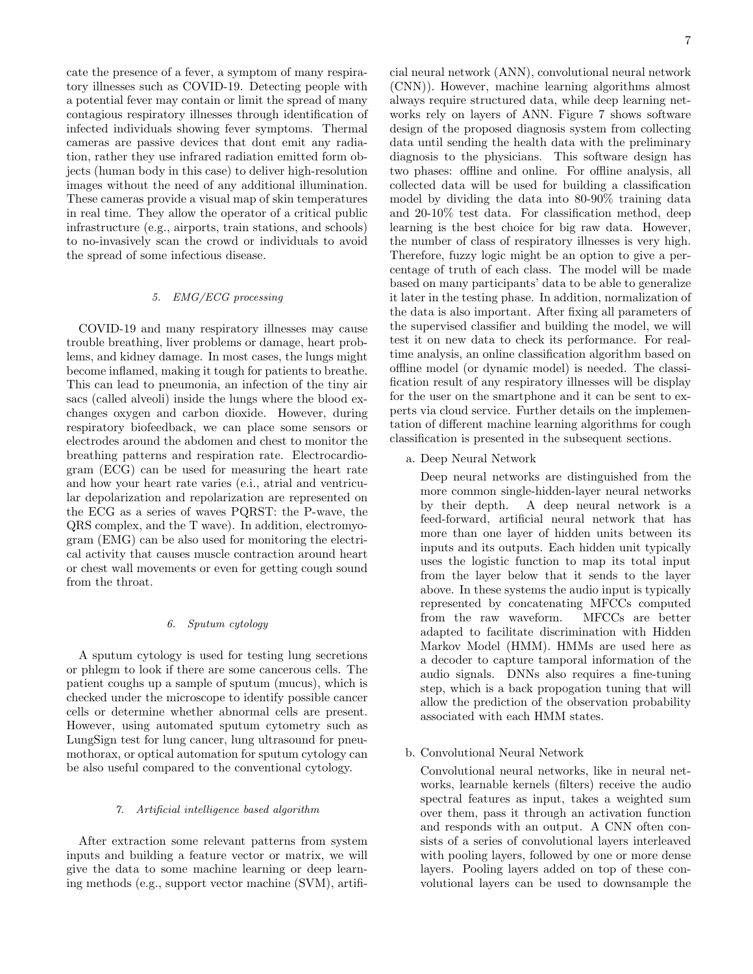cate the presence of a fever, a symptom of many respiratory illnesses such as COVID-19. Detecting people with a potential fever may contain or limit the spread of many contagious respiratory illnesses through identification of infected individuals showing fever symptoms. Thermal cameras are passive devices that dont emit any radiation, rather they use infrared radiation emitted form objects (human body in this case) to deliver high-resolution images without the need of any additional illumination. These cameras provide a visual map of skin temperatures in real time. They allow the operator of a critical public infrastructure (e.g., airports, train stations, and schools) to no-invasively scan the crowd or individuals to avoid the spread of some infectious disease.

# 5. EMG/ECG processing

COVID-19 and many respiratory illnesses may cause trouble breathing, liver problems or damage, heart problems, and kidney damage. In most cases, the lungs might become inflamed, making it tough for patients to breathe. This can lead to pneumonia, an infection of the tiny air sacs (called alveoli) inside the lungs where the blood exchanges oxygen and carbon dioxide. However, during respiratory biofeedback, we can place some sensors or electrodes around the abdomen and chest to monitor the breathing patterns and respiration rate. Electrocardiogram (ECG) can be used for measuring the heart rate and how your heart rate varies (e.i., atrial and ventricular depolarization and repolarization are represented on the ECG as a series of waves PQRST: the P-wave, the QRS complex, and the T wave). In addition, electromyogram (EMG) can be also used for monitoring the electrical activity that causes muscle contraction around heart or chest wall movements or even for getting cough sound from the throat.

# 6. Sputum cytology

A sputum cytology is used for testing lung secretions or phlegm to look if there are some cancerous cells. The patient coughs up a sample of sputum (mucus), which is checked under the microscope to identify possible cancer cells or determine whether abnormal cells are present. However, using automated sputum cytometry such as LungSign test for lung cancer, lung ultrasound for pneumothorax, or optical automation for sputum cytology can be also useful compared to the conventional cytology.

# 7. Artificial intelligence based algorithm

After extraction some relevant patterns from system inputs and building a feature vector or matrix, we will give the data to some machine learning or deep learning methods (e.g., support vector machine (SVM), artificial neural network (ANN), convolutional neural network (CNN)). However, machine learning algorithms almost always require structured data, while deep learning networks rely on layers of ANN. Figure 7 shows software design of the proposed diagnosis system from collecting data until sending the health data with the preliminary diagnosis to the physicians. This software design has two phases: offline and online. For offline analysis, all collected data will be used for building a classification model by dividing the data into 80-90% training data and 20-10% test data. For classification method, deep learning is the best choice for big raw data. However, the number of class of respiratory illnesses is very high. Therefore, fuzzy logic might be an option to give a percentage of truth of each class. The model will be made based on many participants' data to be able to generalize it later in the testing phase. In addition, normalization of the data is also important. After fixing all parameters of the supervised classifier and building the model, we will test it on new data to check its performance. For realtime analysis, an online classification algorithm based on offline model (or dynamic model) is needed. The classification result of any respiratory illnesses will be display for the user on the smartphone and it can be sent to experts via cloud service. Further details on the implementation of different machine learning algorithms for cough classification is presented in the subsequent sections.

a. Deep Neural Network

Deep neural networks are distinguished from the more common single-hidden-layer neural networks by their depth. A deep neural network is a feed-forward, artificial neural network that has more than one layer of hidden units between its inputs and its outputs. Each hidden unit typically uses the logistic function to map its total input from the layer below that it sends to the layer above. In these systems the audio input is typically represented by concatenating MFCCs computed from the raw waveform. MFCCs are better adapted to facilitate discrimination with Hidden Markov Model (HMM). HMMs are used here as a decoder to capture tamporal information of the audio signals. DNNs also requires a fine-tuning step, which is a back propogation tuning that will allow the prediction of the observation probability associated with each HMM states.

b. Convolutional Neural Network

Convolutional neural networks, like in neural networks, learnable kernels (filters) receive the audio spectral features as input, takes a weighted sum over them, pass it through an activation function and responds with an output. A CNN often consists of a series of convolutional layers interleaved with pooling layers, followed by one or more dense layers. Pooling layers added on top of these convolutional layers can be used to downsample the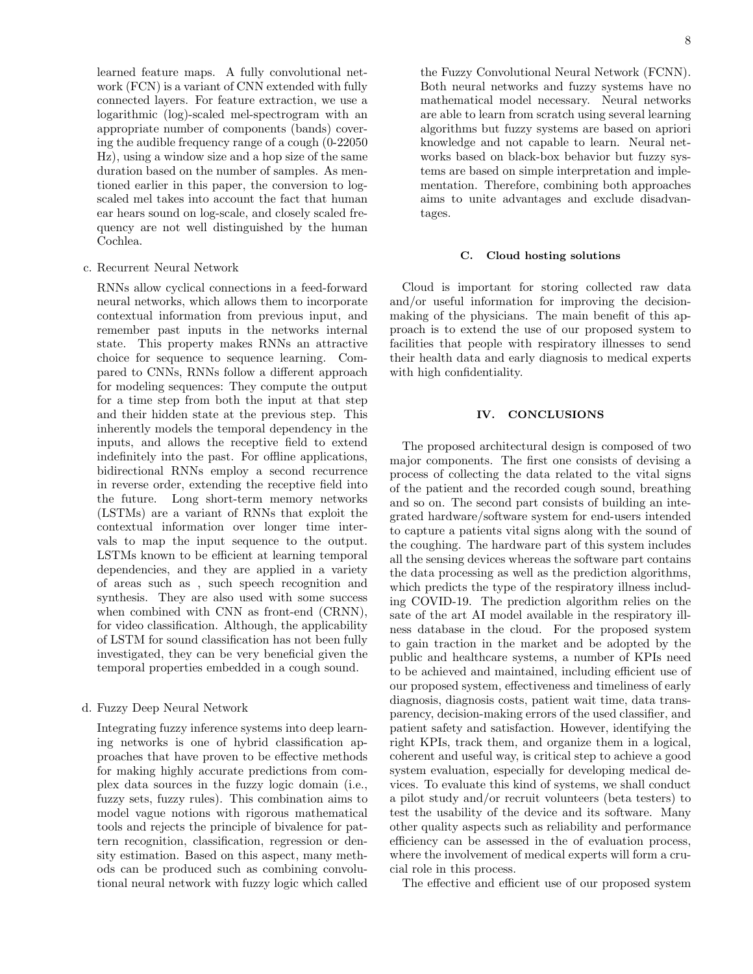learned feature maps. A fully convolutional network (FCN) is a variant of CNN extended with fully connected layers. For feature extraction, we use a logarithmic (log)-scaled mel-spectrogram with an appropriate number of components (bands) covering the audible frequency range of a cough (0-22050 Hz), using a window size and a hop size of the same duration based on the number of samples. As mentioned earlier in this paper, the conversion to logscaled mel takes into account the fact that human ear hears sound on log-scale, and closely scaled frequency are not well distinguished by the human Cochlea.

# c. Recurrent Neural Network

RNNs allow cyclical connections in a feed-forward neural networks, which allows them to incorporate contextual information from previous input, and remember past inputs in the networks internal state. This property makes RNNs an attractive choice for sequence to sequence learning. Compared to CNNs, RNNs follow a different approach for modeling sequences: They compute the output for a time step from both the input at that step and their hidden state at the previous step. This inherently models the temporal dependency in the inputs, and allows the receptive field to extend indefinitely into the past. For offline applications, bidirectional RNNs employ a second recurrence in reverse order, extending the receptive field into the future. Long short-term memory networks (LSTMs) are a variant of RNNs that exploit the contextual information over longer time intervals to map the input sequence to the output. LSTMs known to be efficient at learning temporal dependencies, and they are applied in a variety of areas such as , such speech recognition and synthesis. They are also used with some success when combined with CNN as front-end (CRNN), for video classification. Although, the applicability of LSTM for sound classification has not been fully investigated, they can be very beneficial given the temporal properties embedded in a cough sound.

# d. Fuzzy Deep Neural Network

Integrating fuzzy inference systems into deep learning networks is one of hybrid classification approaches that have proven to be effective methods for making highly accurate predictions from complex data sources in the fuzzy logic domain (i.e., fuzzy sets, fuzzy rules). This combination aims to model vague notions with rigorous mathematical tools and rejects the principle of bivalence for pattern recognition, classification, regression or density estimation. Based on this aspect, many methods can be produced such as combining convolutional neural network with fuzzy logic which called

the Fuzzy Convolutional Neural Network (FCNN). Both neural networks and fuzzy systems have no mathematical model necessary. Neural networks are able to learn from scratch using several learning algorithms but fuzzy systems are based on apriori knowledge and not capable to learn. Neural networks based on black-box behavior but fuzzy systems are based on simple interpretation and implementation. Therefore, combining both approaches aims to unite advantages and exclude disadvantages.

# C. Cloud hosting solutions

Cloud is important for storing collected raw data and/or useful information for improving the decisionmaking of the physicians. The main benefit of this approach is to extend the use of our proposed system to facilities that people with respiratory illnesses to send their health data and early diagnosis to medical experts with high confidentiality.

# <span id="page-7-0"></span>IV. CONCLUSIONS

The proposed architectural design is composed of two major components. The first one consists of devising a process of collecting the data related to the vital signs of the patient and the recorded cough sound, breathing and so on. The second part consists of building an integrated hardware/software system for end-users intended to capture a patients vital signs along with the sound of the coughing. The hardware part of this system includes all the sensing devices whereas the software part contains the data processing as well as the prediction algorithms, which predicts the type of the respiratory illness including COVID-19. The prediction algorithm relies on the sate of the art AI model available in the respiratory illness database in the cloud. For the proposed system to gain traction in the market and be adopted by the public and healthcare systems, a number of KPIs need to be achieved and maintained, including efficient use of our proposed system, effectiveness and timeliness of early diagnosis, diagnosis costs, patient wait time, data transparency, decision-making errors of the used classifier, and patient safety and satisfaction. However, identifying the right KPIs, track them, and organize them in a logical, coherent and useful way, is critical step to achieve a good system evaluation, especially for developing medical devices. To evaluate this kind of systems, we shall conduct a pilot study and/or recruit volunteers (beta testers) to test the usability of the device and its software. Many other quality aspects such as reliability and performance efficiency can be assessed in the of evaluation process, where the involvement of medical experts will form a crucial role in this process.

The effective and efficient use of our proposed system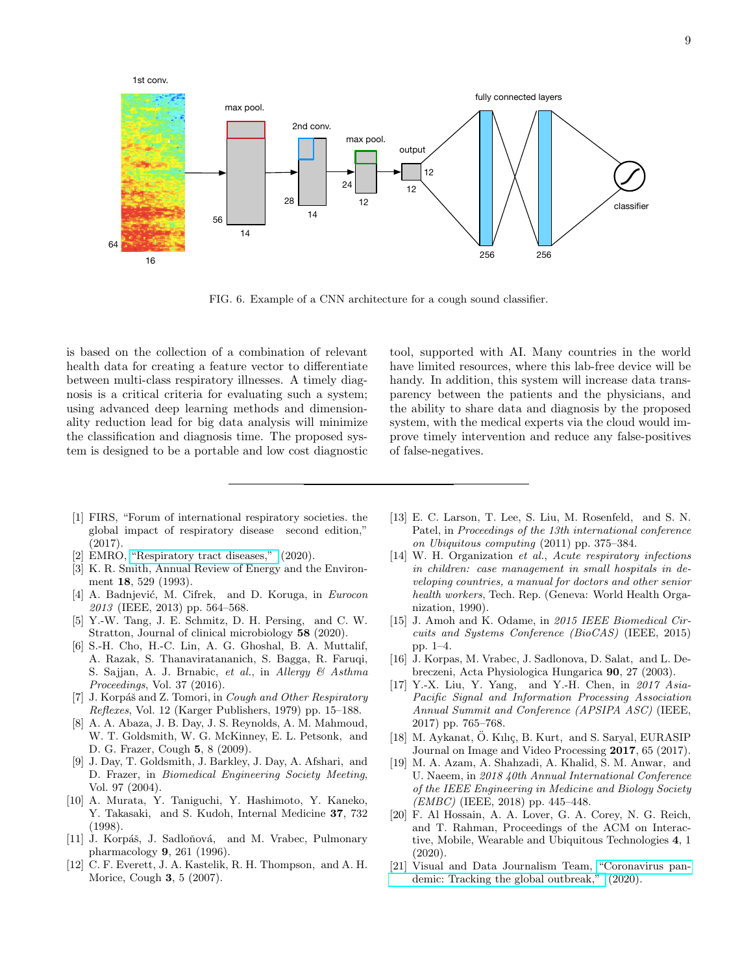

FIG. 6. Example of a CNN architecture for a cough sound classifier.

is based on the collection of a combination of relevant health data for creating a feature vector to differentiate between multi-class respiratory illnesses. A timely diagnosis is a critical criteria for evaluating such a system; using advanced deep learning methods and dimensionality reduction lead for big data analysis will minimize the classification and diagnosis time. The proposed system is designed to be a portable and low cost diagnostic

tool, supported with AI. Many countries in the world have limited resources, where this lab-free device will be handy. In addition, this system will increase data transparency between the patients and the physicians, and the ability to share data and diagnosis by the proposed system, with the medical experts via the cloud would improve timely intervention and reduce any false-positives of false-negatives.

- <span id="page-8-0"></span>[1] FIRS, "Forum of international respiratory societies. the global impact of respiratory disease second edition," (2017).
- <span id="page-8-1"></span>[2] EMRO, ["Respiratory tract diseases,"](http://www.emro.who.int/health-topics/respiratory-tract-diseases/index.html) (2020).
- <span id="page-8-2"></span>[3] K. R. Smith, Annual Review of Energy and the Environment 18, 529 (1993).
- <span id="page-8-3"></span>[4] A. Badnjević, M. Cifrek, and D. Koruga, in Eurocon 2013 (IEEE, 2013) pp. 564–568.
- <span id="page-8-4"></span>[5] Y.-W. Tang, J. E. Schmitz, D. H. Persing, and C. W. Stratton, Journal of clinical microbiology 58 (2020).
- <span id="page-8-5"></span>[6] S.-H. Cho, H.-C. Lin, A. G. Ghoshal, B. A. Muttalif, A. Razak, S. Thanaviratananich, S. Bagga, R. Faruqi, S. Sajjan, A. J. Brnabic, et al., in Allergy & Asthma Proceedings, Vol. 37 (2016).
- <span id="page-8-6"></span>[7] J. Korpáš and Z. Tomori, in Cough and Other Respiratory Reflexes, Vol. 12 (Karger Publishers, 1979) pp. 15–188.
- <span id="page-8-7"></span>[8] A. A. Abaza, J. B. Day, J. S. Reynolds, A. M. Mahmoud, W. T. Goldsmith, W. G. McKinney, E. L. Petsonk, and D. G. Frazer, Cough 5, 8 (2009).
- <span id="page-8-8"></span>[9] J. Day, T. Goldsmith, J. Barkley, J. Day, A. Afshari, and D. Frazer, in Biomedical Engineering Society Meeting, Vol. 97 (2004).
- <span id="page-8-9"></span>[10] A. Murata, Y. Taniguchi, Y. Hashimoto, Y. Kaneko, Y. Takasaki, and S. Kudoh, Internal Medicine 37, 732 (1998).
- <span id="page-8-10"></span>[11] J. Korpáš, J. Sadloňová, and M. Vrabec, Pulmonary pharmacology 9, 261 (1996).
- <span id="page-8-11"></span>[12] C. F. Everett, J. A. Kastelik, R. H. Thompson, and A. H. Morice, Cough 3, 5 (2007).
- <span id="page-8-12"></span>[13] E. C. Larson, T. Lee, S. Liu, M. Rosenfeld, and S. N. Patel, in Proceedings of the 13th international conference on Ubiquitous computing (2011) pp. 375–384.
- <span id="page-8-13"></span>[14] W. H. Organization et al., Acute respiratory infections in children: case management in small hospitals in developing countries, a manual for doctors and other senior health workers, Tech. Rep. (Geneva: World Health Organization, 1990).
- <span id="page-8-14"></span>[15] J. Amoh and K. Odame, in 2015 IEEE Biomedical Circuits and Systems Conference (BioCAS) (IEEE, 2015) pp. 1–4.
- <span id="page-8-15"></span>[16] J. Korpas, M. Vrabec, J. Sadlonova, D. Salat, and L. Debreczeni, Acta Physiologica Hungarica 90, 27 (2003).
- <span id="page-8-16"></span>[17] Y.-X. Liu, Y. Yang, and Y.-H. Chen, in 2017 Asia-Pacific Signal and Information Processing Association Annual Summit and Conference (APSIPA ASC) (IEEE, 2017) pp. 765–768.
- <span id="page-8-17"></span>[18] M. Aykanat, Ö. Kılıç, B. Kurt, and S. Saryal, EURASIP Journal on Image and Video Processing 2017, 65 (2017).
- <span id="page-8-18"></span>[19] M. A. Azam, A. Shahzadi, A. Khalid, S. M. Anwar, and U. Naeem, in 2018 40th Annual International Conference of the IEEE Engineering in Medicine and Biology Society (EMBC) (IEEE, 2018) pp. 445–448.
- <span id="page-8-19"></span>[20] F. Al Hossain, A. A. Lover, G. A. Corey, N. G. Reich, and T. Rahman, Proceedings of the ACM on Interactive, Mobile, Wearable and Ubiquitous Technologies 4, 1 (2020).
- <span id="page-8-20"></span>[21] Visual and Data Journalism Team, ["Coronavirus pan](https://www.bbc.com/news/world-51235105)[demic: Tracking the global outbreak,"](https://www.bbc.com/news/world-51235105) (2020).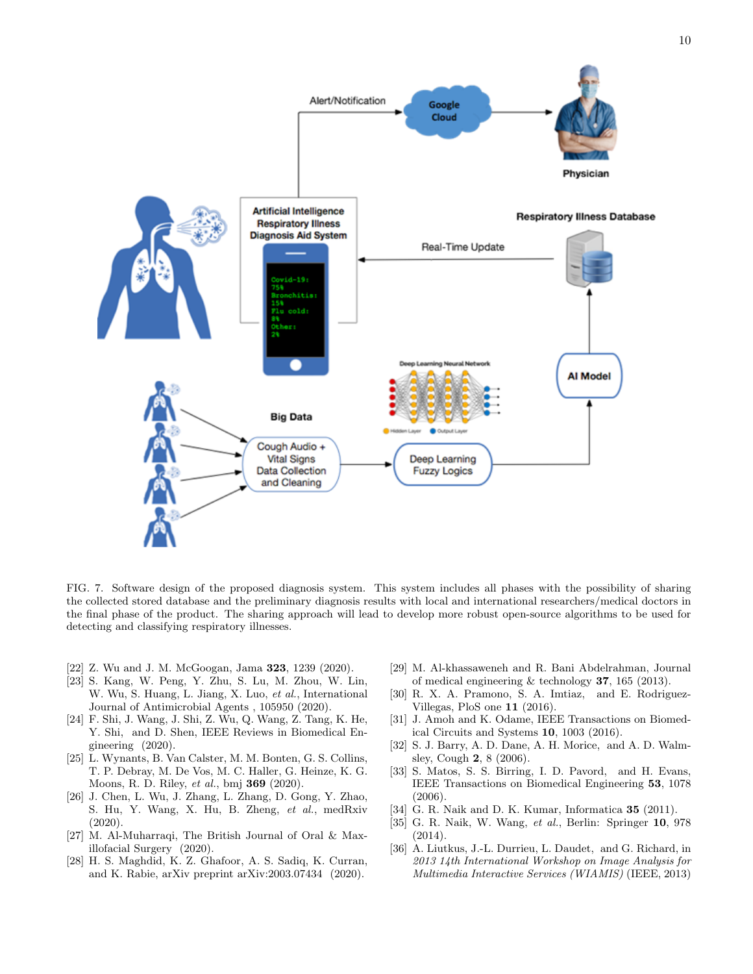

FIG. 7. Software design of the proposed diagnosis system. This system includes all phases with the possibility of sharing the collected stored database and the preliminary diagnosis results with local and international researchers/medical doctors in the final phase of the product. The sharing approach will lead to develop more robust open-source algorithms to be used for detecting and classifying respiratory illnesses.

- <span id="page-9-0"></span>[22] Z. Wu and J. M. McGoogan, Jama 323, 1239 (2020).
- <span id="page-9-1"></span>[23] S. Kang, W. Peng, Y. Zhu, S. Lu, M. Zhou, W. Lin, W. Wu, S. Huang, L. Jiang, X. Luo, et al., International Journal of Antimicrobial Agents , 105950 (2020).
- <span id="page-9-2"></span>[24] F. Shi, J. Wang, J. Shi, Z. Wu, Q. Wang, Z. Tang, K. He, Y. Shi, and D. Shen, IEEE Reviews in Biomedical Engineering (2020).
- <span id="page-9-3"></span>[25] L. Wynants, B. Van Calster, M. M. Bonten, G. S. Collins, T. P. Debray, M. De Vos, M. C. Haller, G. Heinze, K. G. Moons, R. D. Riley, et al., bmj 369 (2020).
- <span id="page-9-4"></span>[26] J. Chen, L. Wu, J. Zhang, L. Zhang, D. Gong, Y. Zhao, S. Hu, Y. Wang, X. Hu, B. Zheng, et al., medRxiv  $(2020)$ .
- <span id="page-9-5"></span>[27] M. Al-Muharraqi, The British Journal of Oral & Maxillofacial Surgery (2020).
- <span id="page-9-6"></span>[28] H. S. Maghdid, K. Z. Ghafoor, A. S. Sadiq, K. Curran, and K. Rabie, arXiv preprint arXiv:2003.07434 (2020).
- <span id="page-9-7"></span>[29] M. Al-khassaweneh and R. Bani Abdelrahman, Journal of medical engineering & technology 37, 165 (2013).
- <span id="page-9-8"></span>[30] R. X. A. Pramono, S. A. Imtiaz, and E. Rodriguez-Villegas, PloS one 11 (2016).
- <span id="page-9-9"></span>[31] J. Amoh and K. Odame, IEEE Transactions on Biomedical Circuits and Systems 10, 1003 (2016).
- <span id="page-9-10"></span>[32] S. J. Barry, A. D. Dane, A. H. Morice, and A. D. Walmsley, Cough 2, 8 (2006).
- <span id="page-9-11"></span>[33] S. Matos, S. S. Birring, I. D. Pavord, and H. Evans, IEEE Transactions on Biomedical Engineering 53, 1078 (2006).
- <span id="page-9-12"></span>[34] G. R. Naik and D. K. Kumar, Informatica 35 (2011).
- <span id="page-9-13"></span>[35] G. R. Naik, W. Wang, et al., Berlin: Springer 10, 978 (2014).
- <span id="page-9-14"></span>[36] A. Liutkus, J.-L. Durrieu, L. Daudet, and G. Richard, in 2013 14th International Workshop on Image Analysis for Multimedia Interactive Services (WIAMIS) (IEEE, 2013)